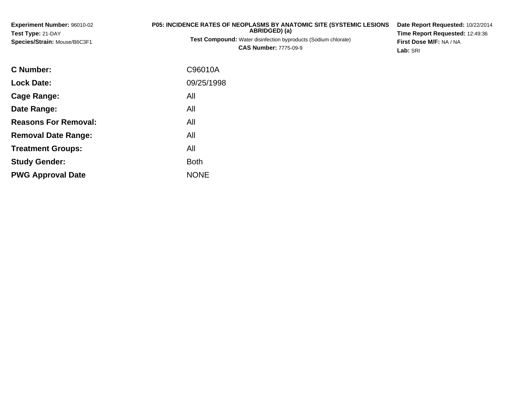| <b>Experiment Number: 96010-02</b><br>Test Type: 21-DAY<br>Species/Strain: Mouse/B6C3F1 | <b>P05: INCIDENCE RATES OF NEOPLASMS BY ANATOMIC SITE (SYSTEMIC LESIONS</b><br>ABRIDGED) (a)<br>Test Compound: Water disinfection byproducts (Sodium chlorate)<br><b>CAS Number: 7775-09-9</b> | Date Report Requested: 10/22/2014<br>Time Report Requested: 12:49:36<br>First Dose M/F: NA / NA<br>Lab: SRI |
|-----------------------------------------------------------------------------------------|------------------------------------------------------------------------------------------------------------------------------------------------------------------------------------------------|-------------------------------------------------------------------------------------------------------------|
| C Number:                                                                               | C96010A                                                                                                                                                                                        |                                                                                                             |
| <b>Lock Date:</b>                                                                       | 09/25/1998                                                                                                                                                                                     |                                                                                                             |

**Cage Range:**

**Date Range:**

**Reasons For Removal:**

**Removal Date Range:**

**Treatment Groups:**

**PWG Approval Date**

**Study Gender:**

All

All

All

: All

e NONE

All

**Example 1** South 2 and 2 and 2 and 2 and 2 and 2 and 2 and 2 and 2 and 2 and 2 and 2 and 2 and 2 and 2 and 2 an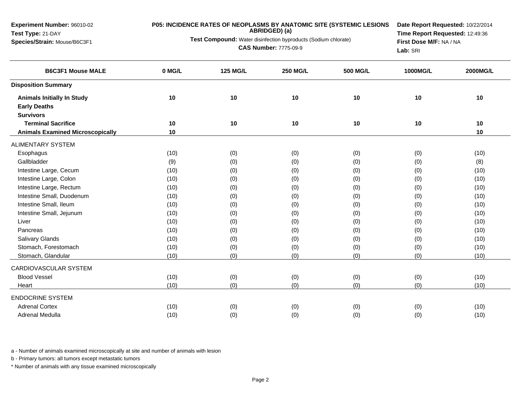**Experiment Number:** 96010-02**Test Type:** 21-DAY

## **Species/Strain:** Mouse/B6C3F1

## **P05: INCIDENCE RATES OF NEOPLASMS BY ANATOMIC SITE (SYSTEMIC LESIONS ABRIDGED) (a)**

**Test Compound:** Water disinfection byproducts (Sodium chlorate)

**CAS Number:** 7775-09-9

**Date Report Requested:** 10/22/2014**Time Report Requested:** 12:49:36**First Dose M/F:** NA / NA**Lab:** SRI

| <b>B6C3F1 Mouse MALE</b>                | 0 MG/L | <b>125 MG/L</b> | <b>250 MG/L</b> | <b>500 MG/L</b> | 1000MG/L | 2000MG/L |
|-----------------------------------------|--------|-----------------|-----------------|-----------------|----------|----------|
| <b>Disposition Summary</b>              |        |                 |                 |                 |          |          |
| <b>Animals Initially In Study</b>       | 10     | 10              | 10              | 10              | 10       | 10       |
| <b>Early Deaths</b>                     |        |                 |                 |                 |          |          |
| <b>Survivors</b>                        |        |                 |                 |                 |          |          |
| <b>Terminal Sacrifice</b>               | 10     | 10              | 10              | 10              | 10       | 10       |
| <b>Animals Examined Microscopically</b> | 10     |                 |                 |                 |          | 10       |
| <b>ALIMENTARY SYSTEM</b>                |        |                 |                 |                 |          |          |
| Esophagus                               | (10)   | (0)             | (0)             | (0)             | (0)      | (10)     |
| Gallbladder                             | (9)    | (0)             | (0)             | (0)             | (0)      | (8)      |
| Intestine Large, Cecum                  | (10)   | (0)             | (0)             | (0)             | (0)      | (10)     |
| Intestine Large, Colon                  | (10)   | (0)             | (0)             | (0)             | (0)      | (10)     |
| Intestine Large, Rectum                 | (10)   | (0)             | (0)             | (0)             | (0)      | (10)     |
| Intestine Small, Duodenum               | (10)   | (0)             | (0)             | (0)             | (0)      | (10)     |
| Intestine Small, Ileum                  | (10)   | (0)             | (0)             | (0)             | (0)      | (10)     |
| Intestine Small, Jejunum                | (10)   | (0)             | (0)             | (0)             | (0)      | (10)     |
| Liver                                   | (10)   | (0)             | (0)             | (0)             | (0)      | (10)     |
| Pancreas                                | (10)   | (0)             | (0)             | (0)             | (0)      | (10)     |
| Salivary Glands                         | (10)   | (0)             | (0)             | (0)             | (0)      | (10)     |
| Stomach, Forestomach                    | (10)   | (0)             | (0)             | (0)             | (0)      | (10)     |
| Stomach, Glandular                      | (10)   | (0)             | (0)             | (0)             | (0)      | (10)     |
| <b>CARDIOVASCULAR SYSTEM</b>            |        |                 |                 |                 |          |          |
| <b>Blood Vessel</b>                     | (10)   | (0)             | (0)             | (0)             | (0)      | (10)     |
| Heart                                   | (10)   | (0)             | (0)             | (0)             | (0)      | (10)     |
| <b>ENDOCRINE SYSTEM</b>                 |        |                 |                 |                 |          |          |
| <b>Adrenal Cortex</b>                   | (10)   | (0)             | (0)             | (0)             | (0)      | (10)     |
| Adrenal Medulla                         | (10)   | (0)             | (0)             | (0)             | (0)      | (10)     |

a - Number of animals examined microscopically at site and number of animals with lesion

b - Primary tumors: all tumors except metastatic tumors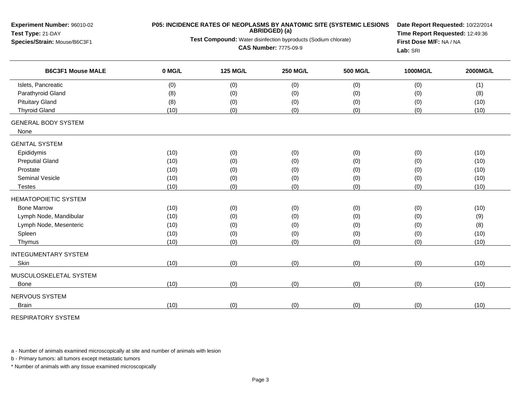| <b>Experiment Number: 96010-02</b><br>Test Type: 21-DAY<br>Species/Strain: Mouse/B6C3F1 |        | <b>P05: INCIDENCE RATES OF NEOPLASMS BY ANATOMIC SITE (SYSTEMIC LESIONS</b><br>Date Report Requested: 10/22/2014<br>ABRIDGED) (a)<br>Time Report Requested: 12:49:36<br>Test Compound: Water disinfection byproducts (Sodium chlorate)<br>First Dose M/F: NA / NA<br><b>CAS Number: 7775-09-9</b><br>Lab: SRI |                 |                 |          |          |
|-----------------------------------------------------------------------------------------|--------|---------------------------------------------------------------------------------------------------------------------------------------------------------------------------------------------------------------------------------------------------------------------------------------------------------------|-----------------|-----------------|----------|----------|
| <b>B6C3F1 Mouse MALE</b>                                                                | 0 MG/L | <b>125 MG/L</b>                                                                                                                                                                                                                                                                                               | <b>250 MG/L</b> | <b>500 MG/L</b> | 1000MG/L | 2000MG/L |
| Islets, Pancreatic                                                                      | (0)    | (0)                                                                                                                                                                                                                                                                                                           | (0)             | (0)             | (0)      | (1)      |
| Parathyroid Gland                                                                       | (8)    | (0)                                                                                                                                                                                                                                                                                                           | (0)             | (0)             | (0)      | (8)      |
| <b>Pituitary Gland</b>                                                                  | (8)    | (0)                                                                                                                                                                                                                                                                                                           | (0)             | (0)             | (0)      | (10)     |
| <b>Thyroid Gland</b>                                                                    | (10)   | (0)                                                                                                                                                                                                                                                                                                           | (0)             | (0)             | (0)      | (10)     |
| <b>GENERAL BODY SYSTEM</b><br>None                                                      |        |                                                                                                                                                                                                                                                                                                               |                 |                 |          |          |
| <b>GENITAL SYSTEM</b>                                                                   |        |                                                                                                                                                                                                                                                                                                               |                 |                 |          |          |
| Epididymis                                                                              | (10)   | (0)                                                                                                                                                                                                                                                                                                           | (0)             | (0)             | (0)      | (10)     |
| <b>Preputial Gland</b>                                                                  | (10)   | (0)                                                                                                                                                                                                                                                                                                           | (0)             | (0)             | (0)      | (10)     |
| Prostate                                                                                | (10)   | (0)                                                                                                                                                                                                                                                                                                           | (0)             | (0)             | (0)      | (10)     |
| <b>Seminal Vesicle</b>                                                                  | (10)   | (0)                                                                                                                                                                                                                                                                                                           | (0)             | (0)             | (0)      | (10)     |
| Testes                                                                                  | (10)   | (0)                                                                                                                                                                                                                                                                                                           | (0)             | (0)             | (0)      | (10)     |
| <b>HEMATOPOIETIC SYSTEM</b>                                                             |        |                                                                                                                                                                                                                                                                                                               |                 |                 |          |          |
| <b>Bone Marrow</b>                                                                      | (10)   | (0)                                                                                                                                                                                                                                                                                                           | (0)             | (0)             | (0)      | (10)     |
| Lymph Node, Mandibular                                                                  | (10)   | (0)                                                                                                                                                                                                                                                                                                           | (0)             | (0)             | (0)      | (9)      |
| Lymph Node, Mesenteric                                                                  | (10)   | (0)                                                                                                                                                                                                                                                                                                           | (0)             | (0)             | (0)      | (8)      |
| Spleen                                                                                  | (10)   | (0)                                                                                                                                                                                                                                                                                                           | (0)             | (0)             | (0)      | (10)     |
| Thymus                                                                                  | (10)   | (0)                                                                                                                                                                                                                                                                                                           | (0)             | (0)             | (0)      | (10)     |
| <b>INTEGUMENTARY SYSTEM</b>                                                             |        |                                                                                                                                                                                                                                                                                                               |                 |                 |          |          |
| Skin                                                                                    | (10)   | (0)                                                                                                                                                                                                                                                                                                           | (0)             | (0)             | (0)      | (10)     |
| MUSCULOSKELETAL SYSTEM                                                                  |        |                                                                                                                                                                                                                                                                                                               |                 |                 |          |          |
| <b>Bone</b>                                                                             | (10)   | (0)                                                                                                                                                                                                                                                                                                           | (0)             | (0)             | (0)      | (10)     |
| NERVOUS SYSTEM                                                                          |        |                                                                                                                                                                                                                                                                                                               |                 |                 |          |          |
| <b>Brain</b>                                                                            | (10)   | (0)                                                                                                                                                                                                                                                                                                           | (0)             | (0)             | (0)      | (10)     |
|                                                                                         |        |                                                                                                                                                                                                                                                                                                               |                 |                 |          |          |

RESPIRATORY SYSTEM

a - Number of animals examined microscopically at site and number of animals with lesion

b - Primary tumors: all tumors except metastatic tumors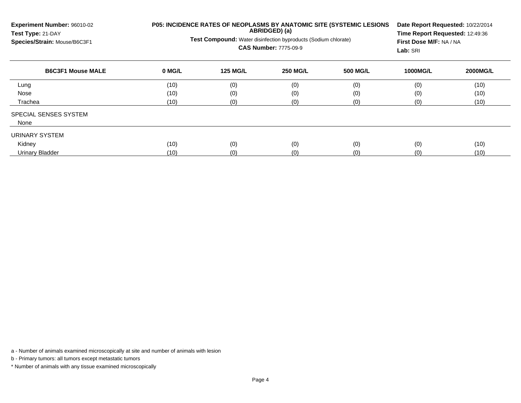| Experiment Number: 96010-02<br>Test Type: 21-DAY<br>Species/Strain: Mouse/B6C3F1 | P05: INCIDENCE RATES OF NEOPLASMS BY ANATOMIC SITE (SYSTEMIC LESIONS<br>ABRIDGED) (a)<br>Test Compound: Water disinfection byproducts (Sodium chlorate)<br><b>CAS Number: 7775-09-9</b> |                 |                 |                 | Date Report Requested: 10/22/2014<br>Time Report Requested: 12:49:36<br>First Dose M/F: NA / NA<br>Lab: SRI |                 |  |  |
|----------------------------------------------------------------------------------|-----------------------------------------------------------------------------------------------------------------------------------------------------------------------------------------|-----------------|-----------------|-----------------|-------------------------------------------------------------------------------------------------------------|-----------------|--|--|
| <b>B6C3F1 Mouse MALE</b>                                                         | 0 MG/L                                                                                                                                                                                  | <b>125 MG/L</b> | <b>250 MG/L</b> | <b>500 MG/L</b> | <b>1000MG/L</b>                                                                                             | <b>2000MG/L</b> |  |  |
| Lung                                                                             | (10)                                                                                                                                                                                    | (0)             | (0)             | (0)             | (0)                                                                                                         | (10)            |  |  |
| Nose                                                                             | (10)                                                                                                                                                                                    | (0)             | (0)             | (0)             | (0)                                                                                                         | (10)            |  |  |
| Trachea                                                                          | (10)                                                                                                                                                                                    | (0)             | (0)             | (0)             | (0)                                                                                                         | (10)            |  |  |
| SPECIAL SENSES SYSTEM                                                            |                                                                                                                                                                                         |                 |                 |                 |                                                                                                             |                 |  |  |
| None                                                                             |                                                                                                                                                                                         |                 |                 |                 |                                                                                                             |                 |  |  |
| URINARY SYSTEM                                                                   |                                                                                                                                                                                         |                 |                 |                 |                                                                                                             |                 |  |  |
| Kidney                                                                           | (10)                                                                                                                                                                                    | (0)             | (0)             | (0)             | (0)                                                                                                         | (10)            |  |  |
| <b>Urinary Bladder</b>                                                           | (10)                                                                                                                                                                                    | (0)             | (0)             | (0)             | (0)                                                                                                         | (10)            |  |  |

a - Number of animals examined microscopically at site and number of animals with lesion

b - Primary tumors: all tumors except metastatic tumors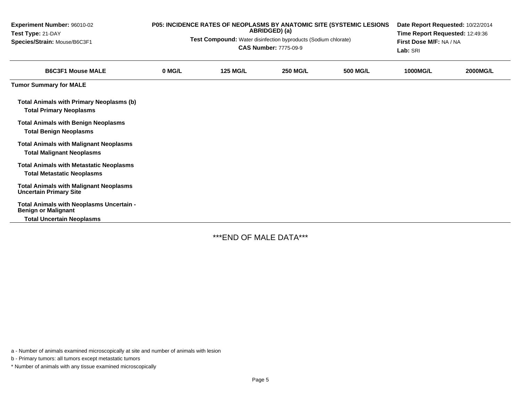| <b>Experiment Number: 96010-02</b><br>Test Type: 21-DAY<br>Species/Strain: Mouse/B6C3F1 | <b>P05: INCIDENCE RATES OF NEOPLASMS BY ANATOMIC SITE (SYSTEMIC LESIONS)</b><br>ABRIDGED) (a)<br>Test Compound: Water disinfection byproducts (Sodium chlorate)<br><b>CAS Number: 7775-09-9</b> |                 |                 | Date Report Requested: 10/22/2014<br>Time Report Requested: 12:49:36<br>First Dose M/F: NA / NA<br>Lab: SRI |                 |                 |
|-----------------------------------------------------------------------------------------|-------------------------------------------------------------------------------------------------------------------------------------------------------------------------------------------------|-----------------|-----------------|-------------------------------------------------------------------------------------------------------------|-----------------|-----------------|
| <b>B6C3F1 Mouse MALE</b>                                                                | 0 MG/L                                                                                                                                                                                          | <b>125 MG/L</b> | <b>250 MG/L</b> | <b>500 MG/L</b>                                                                                             | <b>1000MG/L</b> | <b>2000MG/L</b> |
| <b>Tumor Summary for MALE</b>                                                           |                                                                                                                                                                                                 |                 |                 |                                                                                                             |                 |                 |
| <b>Total Animals with Primary Neoplasms (b)</b><br><b>Total Primary Neoplasms</b>       |                                                                                                                                                                                                 |                 |                 |                                                                                                             |                 |                 |
| <b>Total Animals with Benign Neoplasms</b><br><b>Total Benign Neoplasms</b>             |                                                                                                                                                                                                 |                 |                 |                                                                                                             |                 |                 |
| <b>Total Animals with Malignant Neoplasms</b><br><b>Total Malignant Neoplasms</b>       |                                                                                                                                                                                                 |                 |                 |                                                                                                             |                 |                 |
| <b>Total Animals with Metastatic Neoplasms</b><br><b>Total Metastatic Neoplasms</b>     |                                                                                                                                                                                                 |                 |                 |                                                                                                             |                 |                 |
| <b>Total Animals with Malignant Neoplasms</b><br><b>Uncertain Primary Site</b>          |                                                                                                                                                                                                 |                 |                 |                                                                                                             |                 |                 |
| Total Animals with Neoplasms Uncertain -<br><b>Benign or Malignant</b>                  |                                                                                                                                                                                                 |                 |                 |                                                                                                             |                 |                 |
| <b>Total Uncertain Neoplasms</b>                                                        |                                                                                                                                                                                                 |                 |                 |                                                                                                             |                 |                 |

\*\*\*END OF MALE DATA\*\*\*

a - Number of animals examined microscopically at site and number of animals with lesion

b - Primary tumors: all tumors except metastatic tumors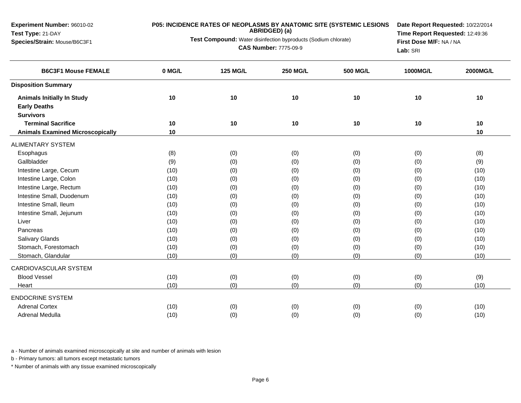**Experiment Number:** 96010-02**Test Type:** 21-DAY

## **Species/Strain:** Mouse/B6C3F1

## **P05: INCIDENCE RATES OF NEOPLASMS BY ANATOMIC SITE (SYSTEMIC LESIONS ABRIDGED) (a)**

**Test Compound:** Water disinfection byproducts (Sodium chlorate)

**CAS Number:** 7775-09-9

**Date Report Requested:** 10/22/2014**Time Report Requested:** 12:49:36**First Dose M/F:** NA / NA**Lab:** SRI

| <b>B6C3F1 Mouse FEMALE</b>              | 0 MG/L | <b>125 MG/L</b> | <b>250 MG/L</b> | <b>500 MG/L</b> | 1000MG/L | 2000MG/L |
|-----------------------------------------|--------|-----------------|-----------------|-----------------|----------|----------|
| <b>Disposition Summary</b>              |        |                 |                 |                 |          |          |
| <b>Animals Initially In Study</b>       | 10     | 10              | 10              | 10              | 10       | 10       |
| <b>Early Deaths</b>                     |        |                 |                 |                 |          |          |
| <b>Survivors</b>                        |        |                 |                 |                 |          |          |
| <b>Terminal Sacrifice</b>               | 10     | 10              | 10              | 10              | 10       | 10       |
| <b>Animals Examined Microscopically</b> | 10     |                 |                 |                 |          | 10       |
| <b>ALIMENTARY SYSTEM</b>                |        |                 |                 |                 |          |          |
| Esophagus                               | (8)    | (0)             | (0)             | (0)             | (0)      | (8)      |
| Gallbladder                             | (9)    | (0)             | (0)             | (0)             | (0)      | (9)      |
| Intestine Large, Cecum                  | (10)   | (0)             | (0)             | (0)             | (0)      | (10)     |
| Intestine Large, Colon                  | (10)   | (0)             | (0)             | (0)             | (0)      | (10)     |
| Intestine Large, Rectum                 | (10)   | (0)             | (0)             | (0)             | (0)      | (10)     |
| Intestine Small, Duodenum               | (10)   | (0)             | (0)             | (0)             | (0)      | (10)     |
| Intestine Small, Ileum                  | (10)   | (0)             | (0)             | (0)             | (0)      | (10)     |
| Intestine Small, Jejunum                | (10)   | (0)             | (0)             | (0)             | (0)      | (10)     |
| Liver                                   | (10)   | (0)             | (0)             | (0)             | (0)      | (10)     |
| Pancreas                                | (10)   | (0)             | (0)             | (0)             | (0)      | (10)     |
| <b>Salivary Glands</b>                  | (10)   | (0)             | (0)             | (0)             | (0)      | (10)     |
| Stomach, Forestomach                    | (10)   | (0)             | (0)             | (0)             | (0)      | (10)     |
| Stomach, Glandular                      | (10)   | (0)             | (0)             | (0)             | (0)      | (10)     |
| CARDIOVASCULAR SYSTEM                   |        |                 |                 |                 |          |          |
| <b>Blood Vessel</b>                     | (10)   | (0)             | (0)             | (0)             | (0)      | (9)      |
| Heart                                   | (10)   | (0)             | (0)             | (0)             | (0)      | (10)     |
| <b>ENDOCRINE SYSTEM</b>                 |        |                 |                 |                 |          |          |
| <b>Adrenal Cortex</b>                   | (10)   | (0)             | (0)             | (0)             | (0)      | (10)     |
| Adrenal Medulla                         | (10)   | (0)             | (0)             | (0)             | (0)      | (10)     |

a - Number of animals examined microscopically at site and number of animals with lesion

b - Primary tumors: all tumors except metastatic tumors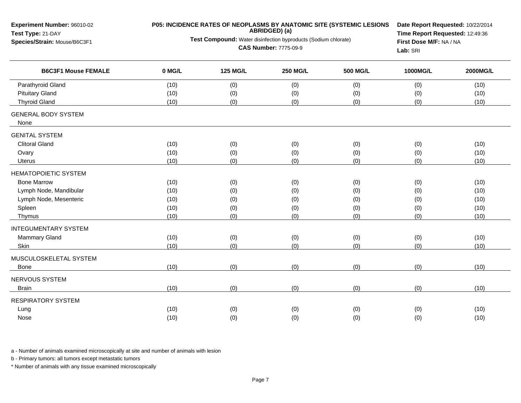| <b>B6C3F1 Mouse FEMALE</b><br>0 MG/L<br><b>125 MG/L</b><br><b>250 MG/L</b><br><b>500 MG/L</b><br>1000MG/L<br><b>2000MG/L</b><br>Parathyroid Gland<br>(10)<br>(0)<br>(0)<br>(0)<br>(0)<br>(10)<br><b>Pituitary Gland</b><br>(0)<br>(10)<br>(0)<br>(0)<br>(0)<br>(10)<br><b>Thyroid Gland</b><br>(0)<br>(0)<br>(0)<br>(10)<br>(0)<br>(10)<br><b>GENERAL BODY SYSTEM</b><br>None<br><b>GENITAL SYSTEM</b><br><b>Clitoral Gland</b><br>(10)<br>(0)<br>(0)<br>(0)<br>(10)<br>(0)<br>(0)<br>(0)<br>(0)<br>(0)<br>Ovary<br>(10)<br>(10)<br>(0)<br>(0)<br>(0)<br>(0)<br>Uterus<br>(10)<br>(10)<br><b>HEMATOPOIETIC SYSTEM</b><br><b>Bone Marrow</b><br>(10)<br>(0)<br>(0)<br>(0)<br>(0)<br>(10)<br>Lymph Node, Mandibular<br>(0)<br>(0)<br>(0)<br>(0)<br>(10)<br>(10)<br>Lymph Node, Mesenteric<br>(0)<br>(0)<br>(10)<br>(0)<br>(0)<br>(10)<br>(0)<br>Spleen<br>(0)<br>(0)<br>(10)<br>(10)<br>(0)<br>(0)<br>(0)<br>(10)<br>(0)<br>(0)<br>(10)<br>Thymus<br><b>INTEGUMENTARY SYSTEM</b><br>Mammary Gland<br>(10)<br>(0)<br>(0)<br>(0)<br>(0)<br>(10)<br>(0)<br>(0)<br>(0)<br>Skin<br>(10)<br>(0)<br>(10)<br>MUSCULOSKELETAL SYSTEM<br>(10)<br>(0)<br>(0)<br>(0)<br>(0)<br>Bone<br>(10)<br>NERVOUS SYSTEM<br>(0)<br>(10)<br>(0)<br>(0)<br>(0)<br>(10)<br><b>Brain</b><br><b>RESPIRATORY SYSTEM</b><br>(10)<br>(0)<br>(0)<br>(0)<br>(10)<br>Lung<br>(0)<br>Nose<br>(10) | Experiment Number: 96010-02<br>Test Type: 21-DAY<br>Species/Strain: Mouse/B6C3F1 | P05: INCIDENCE RATES OF NEOPLASMS BY ANATOMIC SITE (SYSTEMIC LESIONS<br>ABRIDGED) (a)<br>Test Compound: Water disinfection byproducts (Sodium chlorate)<br><b>CAS Number: 7775-09-9</b> | Date Report Requested: 10/22/2014<br>Time Report Requested: 12:49:36<br>First Dose M/F: NA / NA<br>Lab: SRI |     |     |      |
|--------------------------------------------------------------------------------------------------------------------------------------------------------------------------------------------------------------------------------------------------------------------------------------------------------------------------------------------------------------------------------------------------------------------------------------------------------------------------------------------------------------------------------------------------------------------------------------------------------------------------------------------------------------------------------------------------------------------------------------------------------------------------------------------------------------------------------------------------------------------------------------------------------------------------------------------------------------------------------------------------------------------------------------------------------------------------------------------------------------------------------------------------------------------------------------------------------------------------------------------------------------------------------------------------------------------------------------------------------------|----------------------------------------------------------------------------------|-----------------------------------------------------------------------------------------------------------------------------------------------------------------------------------------|-------------------------------------------------------------------------------------------------------------|-----|-----|------|
|                                                                                                                                                                                                                                                                                                                                                                                                                                                                                                                                                                                                                                                                                                                                                                                                                                                                                                                                                                                                                                                                                                                                                                                                                                                                                                                                                              |                                                                                  |                                                                                                                                                                                         |                                                                                                             |     |     |      |
|                                                                                                                                                                                                                                                                                                                                                                                                                                                                                                                                                                                                                                                                                                                                                                                                                                                                                                                                                                                                                                                                                                                                                                                                                                                                                                                                                              |                                                                                  |                                                                                                                                                                                         |                                                                                                             |     |     |      |
|                                                                                                                                                                                                                                                                                                                                                                                                                                                                                                                                                                                                                                                                                                                                                                                                                                                                                                                                                                                                                                                                                                                                                                                                                                                                                                                                                              |                                                                                  |                                                                                                                                                                                         |                                                                                                             |     |     |      |
|                                                                                                                                                                                                                                                                                                                                                                                                                                                                                                                                                                                                                                                                                                                                                                                                                                                                                                                                                                                                                                                                                                                                                                                                                                                                                                                                                              |                                                                                  |                                                                                                                                                                                         |                                                                                                             |     |     |      |
|                                                                                                                                                                                                                                                                                                                                                                                                                                                                                                                                                                                                                                                                                                                                                                                                                                                                                                                                                                                                                                                                                                                                                                                                                                                                                                                                                              |                                                                                  |                                                                                                                                                                                         |                                                                                                             |     |     |      |
|                                                                                                                                                                                                                                                                                                                                                                                                                                                                                                                                                                                                                                                                                                                                                                                                                                                                                                                                                                                                                                                                                                                                                                                                                                                                                                                                                              |                                                                                  |                                                                                                                                                                                         |                                                                                                             |     |     |      |
|                                                                                                                                                                                                                                                                                                                                                                                                                                                                                                                                                                                                                                                                                                                                                                                                                                                                                                                                                                                                                                                                                                                                                                                                                                                                                                                                                              |                                                                                  |                                                                                                                                                                                         |                                                                                                             |     |     |      |
|                                                                                                                                                                                                                                                                                                                                                                                                                                                                                                                                                                                                                                                                                                                                                                                                                                                                                                                                                                                                                                                                                                                                                                                                                                                                                                                                                              |                                                                                  |                                                                                                                                                                                         |                                                                                                             |     |     |      |
|                                                                                                                                                                                                                                                                                                                                                                                                                                                                                                                                                                                                                                                                                                                                                                                                                                                                                                                                                                                                                                                                                                                                                                                                                                                                                                                                                              |                                                                                  |                                                                                                                                                                                         |                                                                                                             |     |     |      |
|                                                                                                                                                                                                                                                                                                                                                                                                                                                                                                                                                                                                                                                                                                                                                                                                                                                                                                                                                                                                                                                                                                                                                                                                                                                                                                                                                              |                                                                                  |                                                                                                                                                                                         |                                                                                                             |     |     |      |
|                                                                                                                                                                                                                                                                                                                                                                                                                                                                                                                                                                                                                                                                                                                                                                                                                                                                                                                                                                                                                                                                                                                                                                                                                                                                                                                                                              |                                                                                  |                                                                                                                                                                                         |                                                                                                             |     |     |      |
|                                                                                                                                                                                                                                                                                                                                                                                                                                                                                                                                                                                                                                                                                                                                                                                                                                                                                                                                                                                                                                                                                                                                                                                                                                                                                                                                                              |                                                                                  |                                                                                                                                                                                         |                                                                                                             |     |     |      |
|                                                                                                                                                                                                                                                                                                                                                                                                                                                                                                                                                                                                                                                                                                                                                                                                                                                                                                                                                                                                                                                                                                                                                                                                                                                                                                                                                              |                                                                                  |                                                                                                                                                                                         |                                                                                                             |     |     |      |
|                                                                                                                                                                                                                                                                                                                                                                                                                                                                                                                                                                                                                                                                                                                                                                                                                                                                                                                                                                                                                                                                                                                                                                                                                                                                                                                                                              |                                                                                  |                                                                                                                                                                                         |                                                                                                             |     |     |      |
|                                                                                                                                                                                                                                                                                                                                                                                                                                                                                                                                                                                                                                                                                                                                                                                                                                                                                                                                                                                                                                                                                                                                                                                                                                                                                                                                                              |                                                                                  |                                                                                                                                                                                         |                                                                                                             |     |     |      |
|                                                                                                                                                                                                                                                                                                                                                                                                                                                                                                                                                                                                                                                                                                                                                                                                                                                                                                                                                                                                                                                                                                                                                                                                                                                                                                                                                              |                                                                                  |                                                                                                                                                                                         |                                                                                                             |     |     |      |
|                                                                                                                                                                                                                                                                                                                                                                                                                                                                                                                                                                                                                                                                                                                                                                                                                                                                                                                                                                                                                                                                                                                                                                                                                                                                                                                                                              |                                                                                  |                                                                                                                                                                                         |                                                                                                             |     |     |      |
|                                                                                                                                                                                                                                                                                                                                                                                                                                                                                                                                                                                                                                                                                                                                                                                                                                                                                                                                                                                                                                                                                                                                                                                                                                                                                                                                                              |                                                                                  |                                                                                                                                                                                         |                                                                                                             |     |     |      |
|                                                                                                                                                                                                                                                                                                                                                                                                                                                                                                                                                                                                                                                                                                                                                                                                                                                                                                                                                                                                                                                                                                                                                                                                                                                                                                                                                              |                                                                                  |                                                                                                                                                                                         |                                                                                                             |     |     |      |
|                                                                                                                                                                                                                                                                                                                                                                                                                                                                                                                                                                                                                                                                                                                                                                                                                                                                                                                                                                                                                                                                                                                                                                                                                                                                                                                                                              |                                                                                  |                                                                                                                                                                                         |                                                                                                             |     |     |      |
|                                                                                                                                                                                                                                                                                                                                                                                                                                                                                                                                                                                                                                                                                                                                                                                                                                                                                                                                                                                                                                                                                                                                                                                                                                                                                                                                                              |                                                                                  |                                                                                                                                                                                         |                                                                                                             |     |     |      |
|                                                                                                                                                                                                                                                                                                                                                                                                                                                                                                                                                                                                                                                                                                                                                                                                                                                                                                                                                                                                                                                                                                                                                                                                                                                                                                                                                              |                                                                                  |                                                                                                                                                                                         |                                                                                                             |     |     |      |
|                                                                                                                                                                                                                                                                                                                                                                                                                                                                                                                                                                                                                                                                                                                                                                                                                                                                                                                                                                                                                                                                                                                                                                                                                                                                                                                                                              |                                                                                  |                                                                                                                                                                                         |                                                                                                             |     |     |      |
|                                                                                                                                                                                                                                                                                                                                                                                                                                                                                                                                                                                                                                                                                                                                                                                                                                                                                                                                                                                                                                                                                                                                                                                                                                                                                                                                                              |                                                                                  |                                                                                                                                                                                         |                                                                                                             |     |     |      |
|                                                                                                                                                                                                                                                                                                                                                                                                                                                                                                                                                                                                                                                                                                                                                                                                                                                                                                                                                                                                                                                                                                                                                                                                                                                                                                                                                              |                                                                                  | (0)                                                                                                                                                                                     | (0)                                                                                                         | (0) | (0) | (10) |

a - Number of animals examined microscopically at site and number of animals with lesion

b - Primary tumors: all tumors except metastatic tumors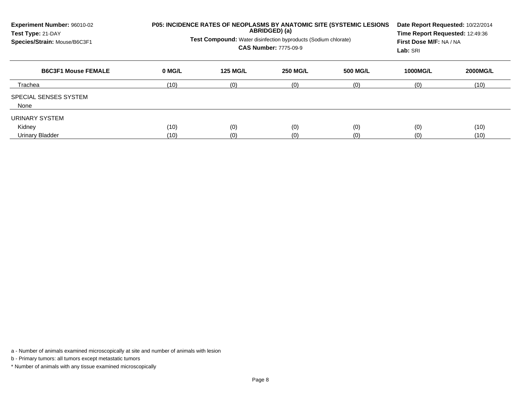| Experiment Number: 96010-02<br>Test Type: 21-DAY<br>Species/Strain: Mouse/B6C3F1 | P05: INCIDENCE RATES OF NEOPLASMS BY ANATOMIC SITE (SYSTEMIC LESIONS<br>ABRIDGED) (a)<br><b>Test Compound:</b> Water disinfection byproducts (Sodium chlorate)<br><b>CAS Number: 7775-09-9</b> |                 |                 |          | Date Report Requested: 10/22/2014<br>Time Report Requested: 12:49:36<br>First Dose M/F: NA / NA<br>Lab: SRI |                 |
|----------------------------------------------------------------------------------|------------------------------------------------------------------------------------------------------------------------------------------------------------------------------------------------|-----------------|-----------------|----------|-------------------------------------------------------------------------------------------------------------|-----------------|
| <b>B6C3F1 Mouse FEMALE</b>                                                       | 0 MG/L                                                                                                                                                                                         | <b>125 MG/L</b> | <b>250 MG/L</b> | 500 MG/L | <b>1000MG/L</b>                                                                                             | <b>2000MG/L</b> |
| Trachea                                                                          | (10)                                                                                                                                                                                           | (0)             | (0)             | (0)      | (0)                                                                                                         | (10)            |
| SPECIAL SENSES SYSTEM<br>None                                                    |                                                                                                                                                                                                |                 |                 |          |                                                                                                             |                 |
| URINARY SYSTEM<br>Kidney                                                         | (10)                                                                                                                                                                                           | (0)             | (0)             | (0)      | (0)                                                                                                         | (10)            |
| Urinary Bladder                                                                  | (10)                                                                                                                                                                                           | (0)             | (0)             | (0)      | (0)                                                                                                         | (10)            |

a - Number of animals examined microscopically at site and number of animals with lesion

b - Primary tumors: all tumors except metastatic tumors